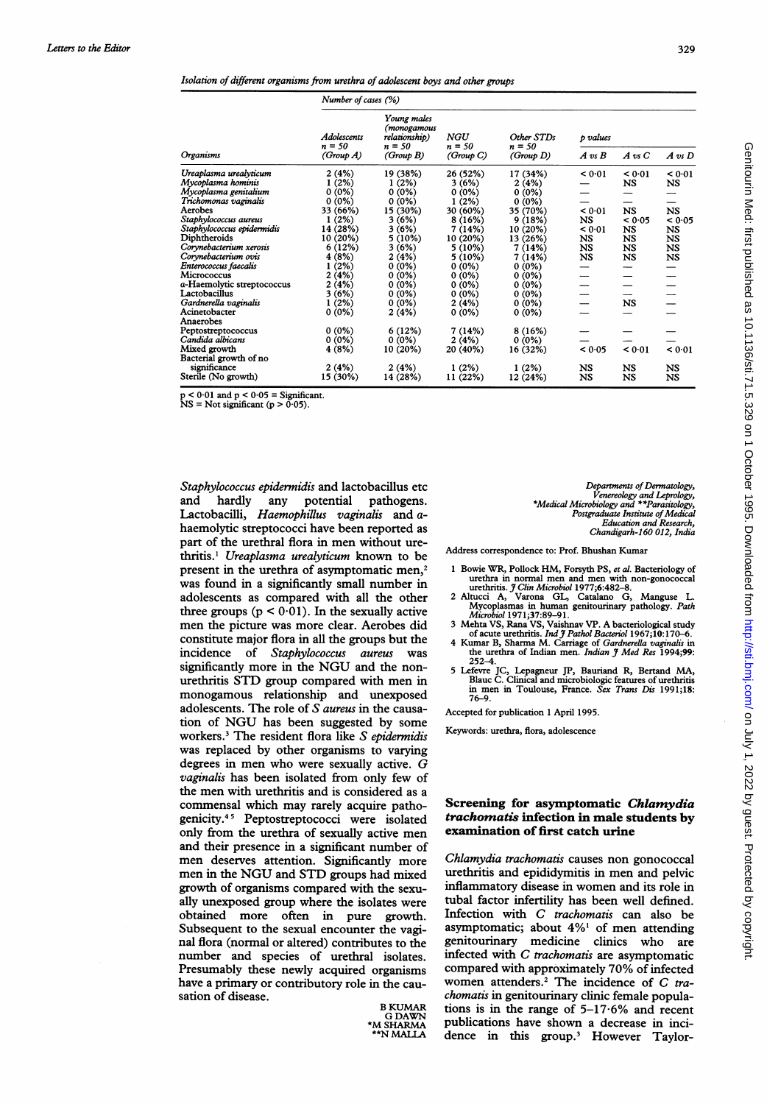# Isolation of different organisms from urethra of adolescent boys and other groups

| Organisms                  | Number of cases (%)                         |                                                                      |                              |                                     |            |            |            |
|----------------------------|---------------------------------------------|----------------------------------------------------------------------|------------------------------|-------------------------------------|------------|------------|------------|
|                            | <b>Adolescents</b><br>$n = 50$<br>(Group A) | Young males<br>(monogamous<br>relationship)<br>$n = 50$<br>(Group B) | NGU<br>$n = 50$<br>(Group C) | Other STDs<br>$n = 50$<br>(Group D) | p values   |            |            |
|                            |                                             |                                                                      |                              |                                     | $A$ vs $B$ | $A\ vs\ C$ | $A$ vs $D$ |
| Ureaplasma urealyticum     | 2(4%)                                       | 19 (38%)                                                             | 26 (52%)                     | 17 (34%)                            | < 0.01     | < 0.01     | < 0.01     |
| Mycoplasma hominis         | 1(2%)                                       | 1(2%)                                                                | 3(6%)                        | 2(4%)                               |            | NS         | NS.        |
| Mycoplasma genitalium      | $0(0\%)$                                    | $0(0\%)$                                                             | $0(0\%)$                     | $0(0\%)$                            |            |            |            |
| Trichomonas vaginalis      | $0(0\%)$                                    | $0(0\%)$                                                             | (2%)                         | $0(0\%)$                            |            |            |            |
| Aerobes                    | 33 (66%)                                    | 15 (30%)                                                             | 30 (60%)                     | 35 (70%)                            | < 0.01     | <b>NS</b>  | <b>NS</b>  |
| Staphylococcus aureus      | 1(2%)                                       | 3 (6%)                                                               | 8(16%)                       | 9(18%)                              | <b>NS</b>  | < 0.05     | < 0.05     |
| Staphylococcus epidermidis | 14 (28%)                                    | 3 (6%)                                                               | 7(14%)                       | 10 (20%)                            | < 0.01     | NS         | NS         |
| Diphtheroids               | 10(20%)                                     | 5 (10%)                                                              | 10 (20%)                     | 13 (26%)                            | NS         | NS         | NS         |
| Corynebacterium xerosis    | 6(12%)                                      | 3 (6%)                                                               | $5(10\%)$                    | 7 (14%)                             | <b>NS</b>  | <b>NS</b>  | NS         |
| Corynebacterium ovis       | 4 (8%)                                      | 2(4%)                                                                | 5 (10%)                      | 7(14%)                              | NS         | NS         | <b>NS</b>  |
| Enterococcus faecalis      | (2%)                                        | $0(0\%)$                                                             | $0(0\%)$                     | $0(0\%)$                            |            |            |            |
| Micrococcus                | 2(4%)                                       | $0(0\%)$                                                             | $0(0\%)$                     | $0(0\%)$                            |            |            |            |
| a-Haemolytic streptococcus | 2(4%)                                       | 0(0%)                                                                | $0(0\%)$                     | $0(0\%)$                            |            |            |            |
| Lactobacillus              | 3(6%)                                       | $0(0\%)$                                                             | $0(0\%)$                     | $0(0\%)$                            |            |            |            |
| Gardnerella vaginalis      | 1(2%)                                       | $0(0\%)$                                                             | 2(4%)                        | $0(0\%)$                            |            | <b>NS</b>  |            |
| Acinetobacter              | $0(0\%)$                                    | 2 (4%)                                                               | $0(0\%)$                     | $0(0\%)$                            |            |            |            |
| Anaerobes                  |                                             |                                                                      |                              |                                     |            |            |            |
| Peptostreptococcus         | $0(0\%)$                                    | 6(12%)                                                               | 7(14%)                       | 8(16%)                              |            |            |            |
| Candida albicans           | $0(0\%)$                                    | $0(0\%)$                                                             | 2(4%)                        | $0(0\%)$                            |            |            |            |
| Mixed growth               | 4 (8%)                                      | 10(20%)                                                              | 20 (40%)                     | 16 (32%)                            | < 0.05     | < 0.01     | < 0.01     |
| Bacterial growth of no     |                                             |                                                                      |                              |                                     |            |            |            |
| significance               | 2(4%)                                       | 2(4%)                                                                | 1(2%)                        | 1(2%)                               | <b>NS</b>  | NS         | NS         |
| Sterile (No growth)        | 15 (30%)                                    | 14 (28%)                                                             | 11 (22%)                     | 12 (24%)                            | NS         | <b>NS</b>  | <b>NS</b>  |

 $0.01$  and  $p < 0.05$  = Significant.  $DS = Not significant (p > 0.05)$ .<br> $NS = Not significant (p > 0.05)$ .

Staphylococcus epidermidis and lactobacillus etc and hardly any potential pathogens. Lactobacilli, Haemophillus vaginalis and ahaemolytic streptococci have been reported as part of the urethral flora in men without urethritis.' Ureaplasma urealyticum known to be present in the urethra of asymptomatic men,<sup>2</sup> was found in a significantly small number in adolescents as compared with all the other three groups  $(p < 0.01)$ . In the sexually active men the picture was more clear. Aerobes did constitute major flora in all the groups but the incidence of Staphylococcus aureus was significantly more in the NGU and the nonurethritis STD group compared with men in monogamous relationship and unexposed adolescents. The role of S aureus in the causation of NGU has been suggested by some workers.<sup>3</sup> The resident flora like S epidermidis was replaced by other organisms to varying degrees in men who were sexually active. G vaginalis has been isolated from only few of the men with urethritis and is considered as <sup>a</sup> commensal which may rarely acquire pathogenicity.45 Peptostreptococci were isolated only from the urethra of sexually active men and their presence in a significant number of men deserves attention. Significantly more men in the NGU and STD groups had mixed growth of organisms compared with the sexually unexposed group where the isolates were obtained more often in pure growth. Subsequent to the sexual encounter the vaginal flora (normal or altered) contributes to the number and species of urethral isolates. Presumably these newly acquired organisms have a primary or contributory role in the causation of disease.

B KUMAR G DAWN \*M SHARMA 'N MALLA Departments of Dermatology,<br>Venereology and Leprology,<br>Medical Microbiology and \*\*Parasitology,\* Postgraduate Institute of Medical<br>Education and Research,

Chandigarh-160 012, India

Address correspondence to: Prof. Bhushan Kumar

- <sup>1</sup> Bowie WR, Pollock HM, Forsyth PS, et al. Bacteriology of urethra in normal men and men with non-gonococcal urethritis. J Clin Microbiol 1977;6:482-8.<br>2 Altucci A, Varona GL, Catalano G, Manguse
- 2 Altucci A, Varona GL, Catalano G, Manguse L.<br>Mycoplasmas in human genitourinary pathology. Path<br>Microbiol 1971;37:89-91.<br>3 Mehta VS, Rana VS, Vaishnav VP. A bacteriological study<br>of acute urethritis. Ind J Pathol Bacteri
- 
- 252-4.
- <sup>5</sup> Lefevre JC, Lepagneur JP, Bauriand R, Bertand MA, Blauc C. Clinical and microbiologic features of urethritis in men in Toulouse, France. Sex Trans Dis 1991;18: 76-9.

Accepted for publication <sup>1</sup> April 1995.

Keywords: urethra, flora, adolescence

## Screening for asymptomatic Chlamydia trachomatis infection in male students by examination of first catch urine

Chlamydia trachomatis causes non gonococcal urethritis and epididymitis in men and pelvic inflammatory disease in women and its role in tubal factor infertility has been well defined. Infection with C trachomatis can also be asymptomatic; about 4%' of men attending genitourinary medicine clinics who are infected with C trachomatis are asymptomatic compared with approximately 70% of infected women attenders.<sup>2</sup> The incidence of C trachomatis in genitourinary clinic female populations is in the range of  $5-17.6\%$  and recent publications have shown a decrease in incidence in this group.3 However Taylor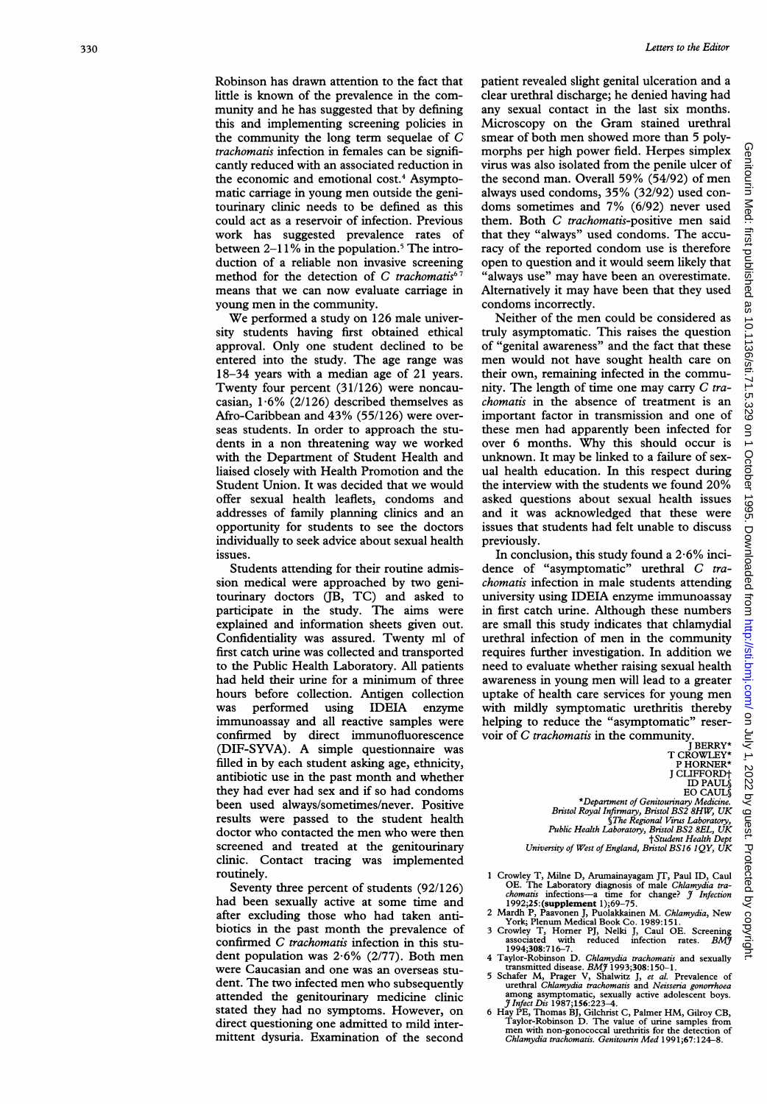Robinson has drawn attention to the fact that little is known of the prevalence in the community and he has suggested that by defining this and implementing screening policies in the community the long term sequelae of C trachomatis infection in females can be significantly reduced with an associated reduction in the economic and emotional cost.4 Asymptomatic carriage in young men outside the genitourinary clinic needs to be defined as this could act as a reservoir of infection. Previous work has suggested prevalence rates of between 2-11% in the population.<sup>5</sup> The introduction of a reliable non invasive screening method for the detection of C trachomatis<sup>67</sup> means that we can now evaluate carriage in young men in the community.

We performed a study on 126 male university students having first obtained ethical approval. Only one student declined to be entered into the study. The age range was 18-34 years with a median age of 21 years. Twenty four percent (31/126) were noncaucasian,  $1.6\%$  (2/126) described themselves as Afro-Caribbean and 43% (55/126) were overseas students. In order to approach the students in a non threatening way we worked with the Department of Student Health and liaised closely with Health Promotion and the Student Union. It was decided that we would offer sexual health leaflets, condoms and addresses of family planning clinics and an opportunity for students to see the doctors individually to seek advice about sexual health issues.

Students attending for their routine admission medical were approached by two genitourinary doctors (JB, TC) and asked to participate in the study. The aims were explained and information sheets given out. Confidentiality was assured. Twenty ml of first catch urine was collected and transported to the Public Health Laboratory. All patients had held their urine for <sup>a</sup> minimum of three hours before collection. Antigen collection<br>was performed using IDEIA enzyme was performed using IDEIA enzyme immunoassay and all reactive samples were confirmed by direct immunofluorescence (DIF-SYVA). A simple questionnaire was filled in by each student asking age, ethnicity, antibiotic use in the past month and whether they had ever had sex and if so had condoms been used always/sometimes/never. Positive results were passed to the student health doctor who contacted the men who were then screened and treated at the genitourinary clinic. Contact tracing was implemented routinely.

Seventy three percent of students (92/126) had been sexually active at some time and after excluding those who had taken antibiotics in the past month the prevalence of confirmed C trachomatis infection in this student population was 2-6% (2/77). Both men were Caucasian and one was an overseas student. The two infected men who subsequently attended the genitourinary medicine clinic stated they had no symptoms. However, on direct questioning one admitted to mild intermittent dysuria. Examination of the second

patient revealed slight genital ulceration and a clear urethral discharge; he denied having had any sexual contact in the last six months. Microscopy on the Gram stained urethral smear of both men showed more than 5 polymorphs per high power field. Herpes simplex virus was also isolated from the penile ulcer of the second man. Overall 59% (54/92) of men always used condoms, 35% (32/92) used condoms sometimes and 7% (6/92) never used them. Both C trachomatis-positive men said that they "always" used condoms. The accuracy of the reported condom use is therefore open to question and it would seem likely that "always use" may have been an overestimate. Alternatively it may have been that they used condoms incorrectly.

Neither of the men could be considered as truly asymptomatic. This raises the question of "genital awareness" and the fact that these men would not have sought health care on their own, remaining infected in the community. The length of time one may carry  $C$  trachomatis in the absence of treatment is an important factor in transmission and one of these men had apparently been infected for over <sup>6</sup> months. Why this should occur is unknown. It may be linked to a failure of sexual health education. In this respect during the interview with the students we found 20% asked questions about sexual health issues and it was acknowledged that these were issues that students had felt unable to discuss previously.

In conclusion, this study found a 2.6% incidence of "asymptomatic" urethral C trachomatis infection in male students attending university using IDEIA enzyme immunoassay in first catch urine. Although these numbers are small this study indicates that chlamydial urethral infection of men in the community requires further investigation. In addition we need to evaluate whether raising sexual health awareness in young men will lead to a greater uptake of health care services for young men with mildly symptomatic urethritis thereby helping to reduce the "asymptomatic" reservoir of *C trachomatis* in the community.

<sup>J</sup> BERRY\* <sup>T</sup> CROWLEY\* <sup>P</sup> HORNER\* J CLIFFORD+ ID PAUL EO CAUL§ \*Department of Genitourinary Medicine. Bristol Royal Infirmary, Bristol BS2 8HW, UK

§The Regional Virus Laboratory, Public Health Laboratory, Bristol BS2 8EL, UK

tStudent Health Dept University of West of England, Bristol BSI 6 <sup>I</sup> QY, UK

- <sup>1</sup> Crowley T, Milne D, Arumainayagam JT, Paul ID, Caul OE. The Laboratory diagnosis of male *Chlamydia tra-chomatis* infections—a time for change? *J Infection*<br>1992;25:(**supplement** 1);69–75.
- 2 Mardh P, Paavonen J, Puolakkainen M. Chlamydia, New<br>York; Plenum Medical Book Co. 1989:151.<br>Crowley T, Horner PJ, Nelki J, Caul OE. Screening<br>associated with reduced infection rates. BMJ
- 
- 1994;308:716-7. 4 Taylor-Robinson D. Chlamydia trachomatis and sexually
- transmitted disease.  $BM\bar{y}$  1993;308:150-1.<br>5 Schafer M, Prager V, Shalwitz J, et al. Prevalence of<br>urethral Chlamydia trachomatis and Neisseria gonorrhoea<br>among asymptomatic, sexually active adolescent boys.<br> $\bar{y}$  In
- <sup>6</sup> Hay PE, Thomas BJ, Gilchrist C, Palmer HM, Gilroy CB, Taylor-Robinson D. The value of urine samples from men with non-gonococcal urethritis for the detection of<br>*Chlamydia trachomatis. Genitourin Med* 1991;**6**7:124–8.